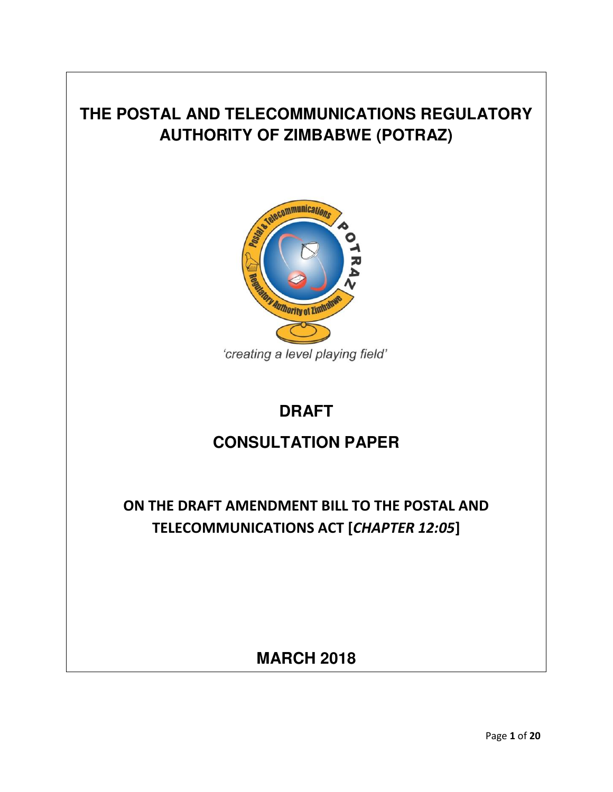# **THE POSTAL AND TELECOMMUNICATIONS REGULATORY AUTHORITY OF ZIMBABWE (POTRAZ)**



## **DRAFT**

## **CONSULTATION PAPER**

**ON THE DRAFT AMENDMENT BILL TO THE POSTAL AND TELECOMMUNICATIONS ACT [***CHAPTER 12:05***]** 

**MARCH 2018**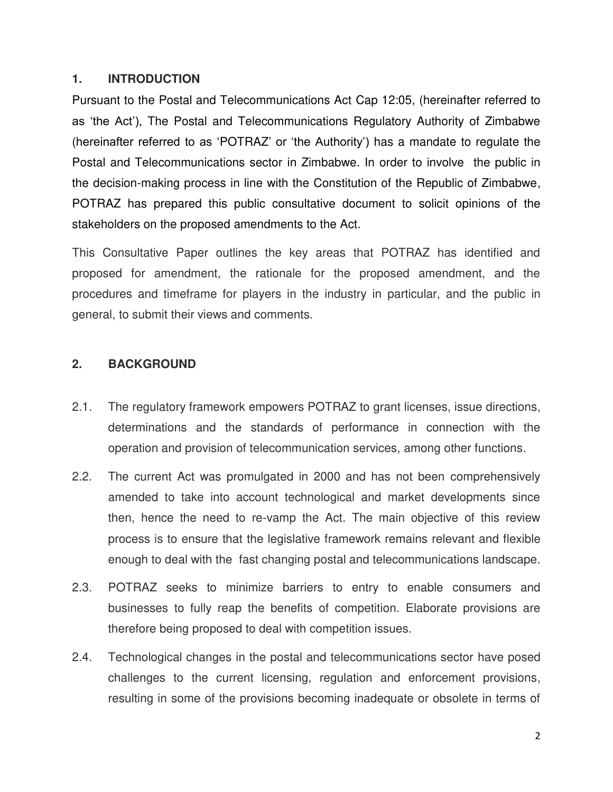#### **1. INTRODUCTION**

Pursuant to the Postal and Telecommunications Act Cap 12:05, (hereinafter referred to as 'the Act'), The Postal and Telecommunications Regulatory Authority of Zimbabwe (hereinafter referred to as 'POTRAZ' or 'the Authority') has a mandate to regulate the Postal and Telecommunications sector in Zimbabwe. In order to involve the public in the decision-making process in line with the Constitution of the Republic of Zimbabwe, POTRAZ has prepared this public consultative document to solicit opinions of the stakeholders on the proposed amendments to the Act.

This Consultative Paper outlines the key areas that POTRAZ has identified and proposed for amendment, the rationale for the proposed amendment, and the procedures and timeframe for players in the industry in particular, and the public in general, to submit their views and comments.

## **2. BACKGROUND**

- 2.1. The regulatory framework empowers POTRAZ to grant licenses, issue directions, determinations and the standards of performance in connection with the operation and provision of telecommunication services, among other functions.
- 2.2. The current Act was promulgated in 2000 and has not been comprehensively amended to take into account technological and market developments since then, hence the need to re-vamp the Act. The main objective of this review process is to ensure that the legislative framework remains relevant and flexible enough to deal with the fast changing postal and telecommunications landscape.
- 2.3. POTRAZ seeks to minimize barriers to entry to enable consumers and businesses to fully reap the benefits of competition. Elaborate provisions are therefore being proposed to deal with competition issues.
- 2.4. Technological changes in the postal and telecommunications sector have posed challenges to the current licensing, regulation and enforcement provisions, resulting in some of the provisions becoming inadequate or obsolete in terms of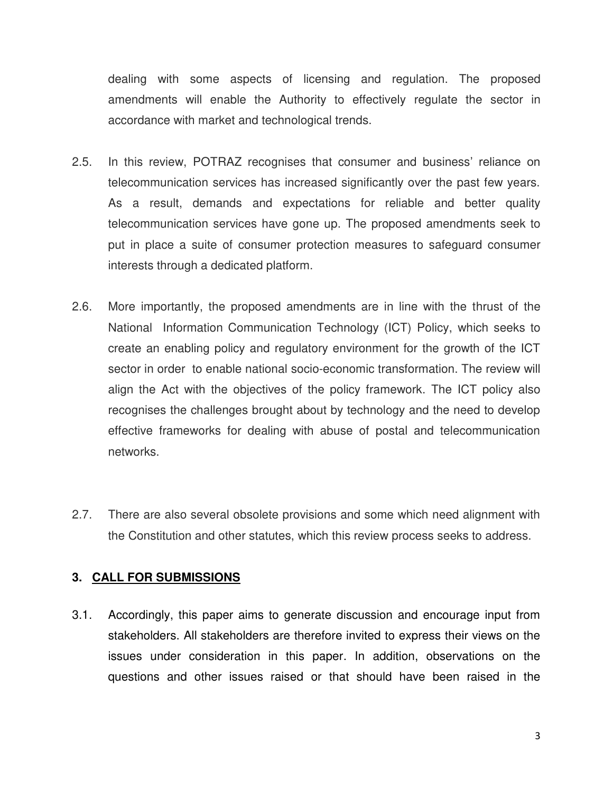dealing with some aspects of licensing and regulation. The proposed amendments will enable the Authority to effectively regulate the sector in accordance with market and technological trends.

- 2.5. In this review, POTRAZ recognises that consumer and business' reliance on telecommunication services has increased significantly over the past few years. As a result, demands and expectations for reliable and better quality telecommunication services have gone up. The proposed amendments seek to put in place a suite of consumer protection measures to safeguard consumer interests through a dedicated platform.
- 2.6. More importantly, the proposed amendments are in line with the thrust of the National Information Communication Technology (ICT) Policy, which seeks to create an enabling policy and regulatory environment for the growth of the ICT sector in order to enable national socio-economic transformation. The review will align the Act with the objectives of the policy framework. The ICT policy also recognises the challenges brought about by technology and the need to develop effective frameworks for dealing with abuse of postal and telecommunication networks.
- 2.7. There are also several obsolete provisions and some which need alignment with the Constitution and other statutes, which this review process seeks to address.

## **3. CALL FOR SUBMISSIONS**

3.1. Accordingly, this paper aims to generate discussion and encourage input from stakeholders. All stakeholders are therefore invited to express their views on the issues under consideration in this paper. In addition, observations on the questions and other issues raised or that should have been raised in the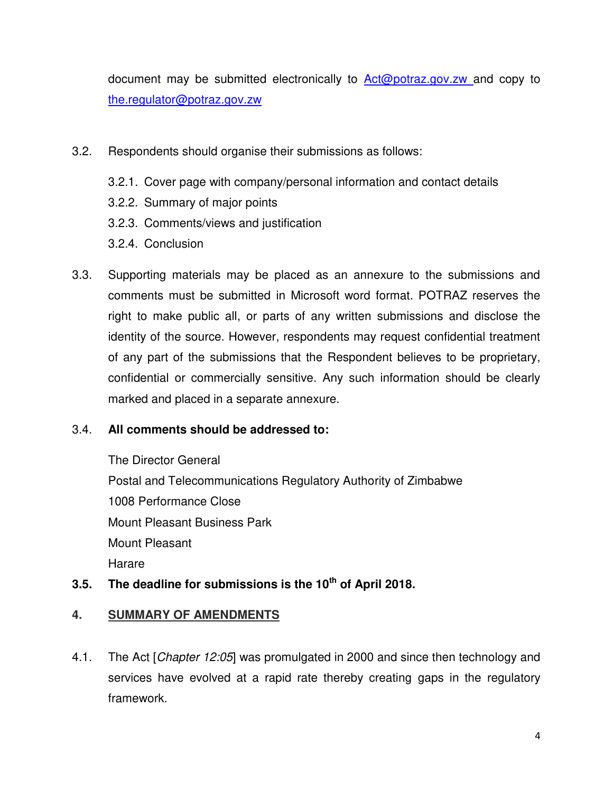document may be submitted electronically to [Act@potraz.gov.zw](mailto:Act@potraz.gov.zw) and copy to the.regulator@potraz.gov.zw

- 3.2. Respondents should organise their submissions as follows:
	- 3.2.1. Cover page with company/personal information and contact details
	- 3.2.2. Summary of major points
	- 3.2.3. Comments/views and justification
	- 3.2.4. Conclusion
- 3.3. Supporting materials may be placed as an annexure to the submissions and comments must be submitted in Microsoft word format. POTRAZ reserves the right to make public all, or parts of any written submissions and disclose the identity of the source. However, respondents may request confidential treatment of any part of the submissions that the Respondent believes to be proprietary, confidential or commercially sensitive. Any such information should be clearly marked and placed in a separate annexure.

## 3.4. **All comments should be addressed to:**

The Director General

Postal and Telecommunications Regulatory Authority of Zimbabwe 1008 Performance Close Mount Pleasant Business Park Mount Pleasant Harare

## **3.5. The deadline for submissions is the 10th of April 2018.**

## **4. SUMMARY OF AMENDMENTS**

4.1. The Act [*Chapter 12:05*] was promulgated in 2000 and since then technology and services have evolved at a rapid rate thereby creating gaps in the regulatory framework.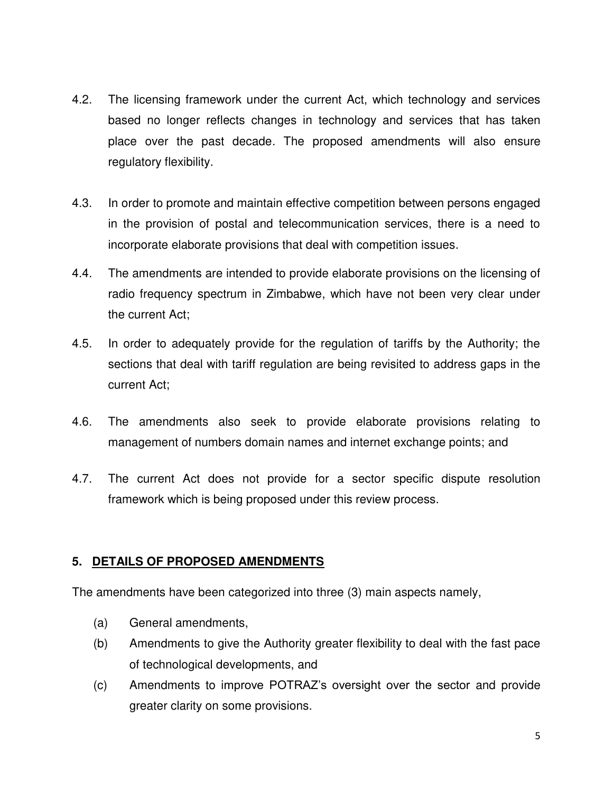- 4.2. The licensing framework under the current Act, which technology and services based no longer reflects changes in technology and services that has taken place over the past decade. The proposed amendments will also ensure regulatory flexibility.
- 4.3. In order to promote and maintain effective competition between persons engaged in the provision of postal and telecommunication services, there is a need to incorporate elaborate provisions that deal with competition issues.
- 4.4. The amendments are intended to provide elaborate provisions on the licensing of radio frequency spectrum in Zimbabwe, which have not been very clear under the current Act;
- 4.5. In order to adequately provide for the regulation of tariffs by the Authority; the sections that deal with tariff regulation are being revisited to address gaps in the current Act;
- 4.6. The amendments also seek to provide elaborate provisions relating to management of numbers domain names and internet exchange points; and
- 4.7. The current Act does not provide for a sector specific dispute resolution framework which is being proposed under this review process.

## **5. DETAILS OF PROPOSED AMENDMENTS**

The amendments have been categorized into three (3) main aspects namely,

- (a) General amendments,
- (b) Amendments to give the Authority greater flexibility to deal with the fast pace of technological developments, and
- (c) Amendments to improve POTRAZ's oversight over the sector and provide greater clarity on some provisions.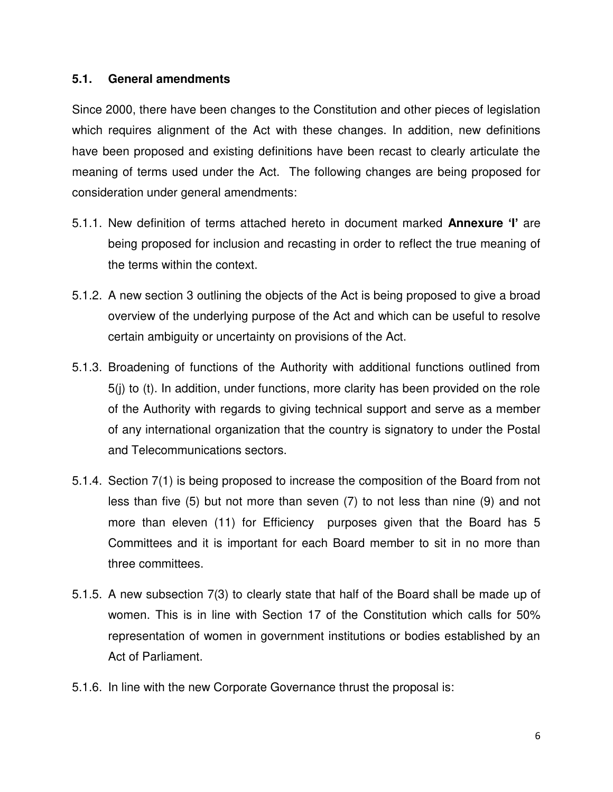#### **5.1. General amendments**

Since 2000, there have been changes to the Constitution and other pieces of legislation which requires alignment of the Act with these changes. In addition, new definitions have been proposed and existing definitions have been recast to clearly articulate the meaning of terms used under the Act. The following changes are being proposed for consideration under general amendments:

- 5.1.1. New definition of terms attached hereto in document marked **Annexure 'I'** are being proposed for inclusion and recasting in order to reflect the true meaning of the terms within the context.
- 5.1.2. A new section 3 outlining the objects of the Act is being proposed to give a broad overview of the underlying purpose of the Act and which can be useful to resolve certain ambiguity or uncertainty on provisions of the Act.
- 5.1.3. Broadening of functions of the Authority with additional functions outlined from 5(j) to (t). In addition, under functions, more clarity has been provided on the role of the Authority with regards to giving technical support and serve as a member of any international organization that the country is signatory to under the Postal and Telecommunications sectors.
- 5.1.4. Section 7(1) is being proposed to increase the composition of the Board from not less than five (5) but not more than seven (7) to not less than nine (9) and not more than eleven (11) for Efficiency purposes given that the Board has 5 Committees and it is important for each Board member to sit in no more than three committees.
- 5.1.5. A new subsection 7(3) to clearly state that half of the Board shall be made up of women. This is in line with Section 17 of the Constitution which calls for 50% representation of women in government institutions or bodies established by an Act of Parliament.
- 5.1.6. In line with the new Corporate Governance thrust the proposal is: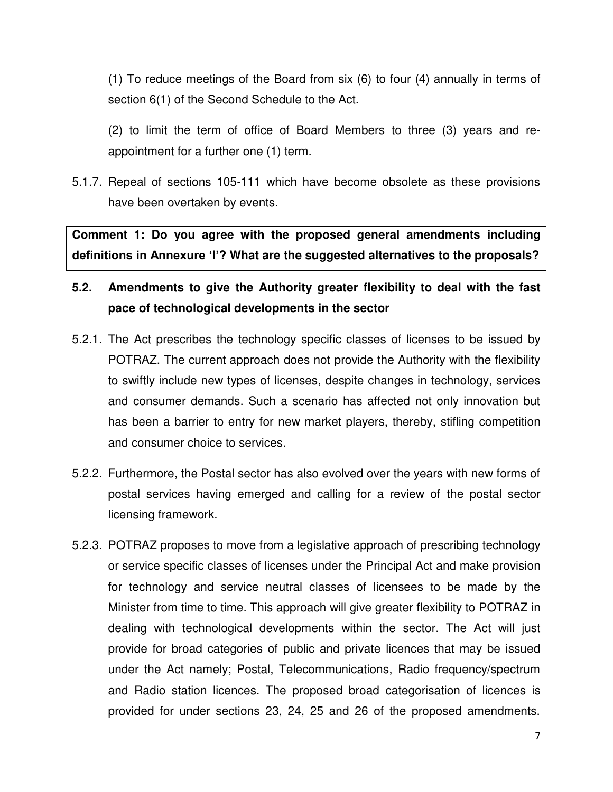(1) To reduce meetings of the Board from six (6) to four (4) annually in terms of section 6(1) of the Second Schedule to the Act.

 (2) to limit the term of office of Board Members to three (3) years and reappointment for a further one (1) term.

5.1.7. Repeal of sections 105-111 which have become obsolete as these provisions have been overtaken by events.

**Comment 1: Do you agree with the proposed general amendments including definitions in Annexure 'I'? What are the suggested alternatives to the proposals?** 

## **5.2. Amendments to give the Authority greater flexibility to deal with the fast pace of technological developments in the sector**

- 5.2.1. The Act prescribes the technology specific classes of licenses to be issued by POTRAZ. The current approach does not provide the Authority with the flexibility to swiftly include new types of licenses, despite changes in technology, services and consumer demands. Such a scenario has affected not only innovation but has been a barrier to entry for new market players, thereby, stifling competition and consumer choice to services.
- 5.2.2. Furthermore, the Postal sector has also evolved over the years with new forms of postal services having emerged and calling for a review of the postal sector licensing framework.
- 5.2.3. POTRAZ proposes to move from a legislative approach of prescribing technology or service specific classes of licenses under the Principal Act and make provision for technology and service neutral classes of licensees to be made by the Minister from time to time. This approach will give greater flexibility to POTRAZ in dealing with technological developments within the sector. The Act will just provide for broad categories of public and private licences that may be issued under the Act namely; Postal, Telecommunications, Radio frequency/spectrum and Radio station licences. The proposed broad categorisation of licences is provided for under sections 23, 24, 25 and 26 of the proposed amendments.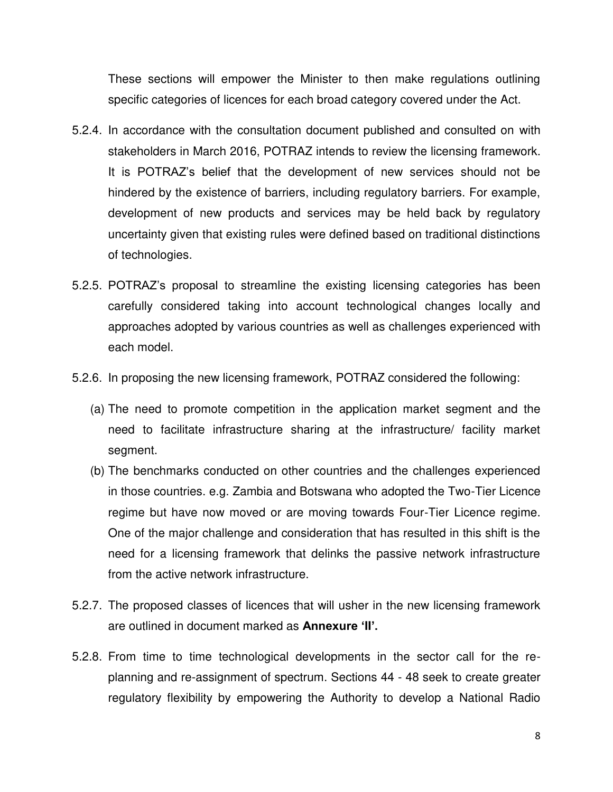These sections will empower the Minister to then make regulations outlining specific categories of licences for each broad category covered under the Act.

- 5.2.4. In accordance with the consultation document published and consulted on with stakeholders in March 2016, POTRAZ intends to review the licensing framework. It is POTRAZ's belief that the development of new services should not be hindered by the existence of barriers, including regulatory barriers. For example, development of new products and services may be held back by regulatory uncertainty given that existing rules were defined based on traditional distinctions of technologies.
- 5.2.5. POTRAZ's proposal to streamline the existing licensing categories has been carefully considered taking into account technological changes locally and approaches adopted by various countries as well as challenges experienced with each model.
- 5.2.6. In proposing the new licensing framework, POTRAZ considered the following:
	- (a) The need to promote competition in the application market segment and the need to facilitate infrastructure sharing at the infrastructure/ facility market segment.
	- (b) The benchmarks conducted on other countries and the challenges experienced in those countries. e.g. Zambia and Botswana who adopted the Two-Tier Licence regime but have now moved or are moving towards Four-Tier Licence regime. One of the major challenge and consideration that has resulted in this shift is the need for a licensing framework that delinks the passive network infrastructure from the active network infrastructure.
- 5.2.7. The proposed classes of licences that will usher in the new licensing framework are outlined in document marked as **Annexure 'II'.**
- 5.2.8. From time to time technological developments in the sector call for the replanning and re-assignment of spectrum. Sections 44 - 48 seek to create greater regulatory flexibility by empowering the Authority to develop a National Radio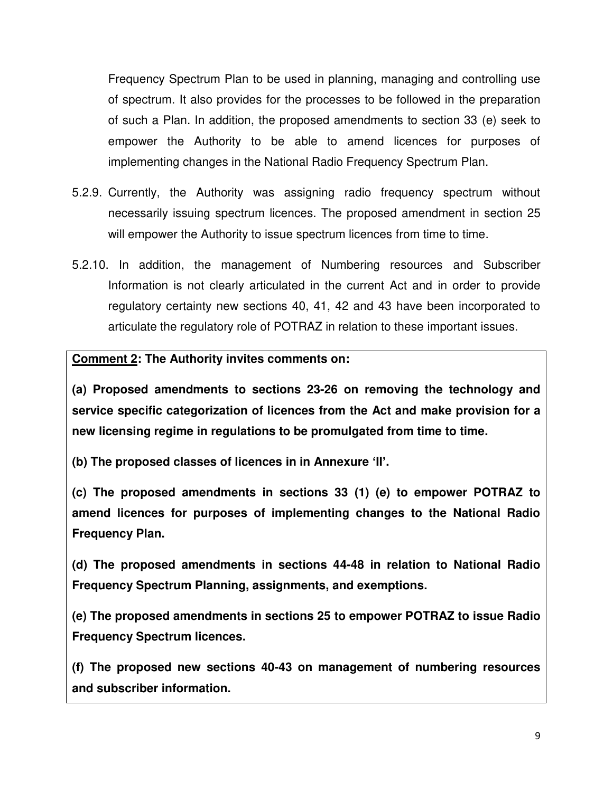Frequency Spectrum Plan to be used in planning, managing and controlling use of spectrum. It also provides for the processes to be followed in the preparation of such a Plan. In addition, the proposed amendments to section 33 (e) seek to empower the Authority to be able to amend licences for purposes of implementing changes in the National Radio Frequency Spectrum Plan.

- 5.2.9. Currently, the Authority was assigning radio frequency spectrum without necessarily issuing spectrum licences. The proposed amendment in section 25 will empower the Authority to issue spectrum licences from time to time.
- 5.2.10. In addition, the management of Numbering resources and Subscriber Information is not clearly articulated in the current Act and in order to provide regulatory certainty new sections 40, 41, 42 and 43 have been incorporated to articulate the regulatory role of POTRAZ in relation to these important issues.

## **Comment 2: The Authority invites comments on:**

**(a) Proposed amendments to sections 23-26 on removing the technology and service specific categorization of licences from the Act and make provision for a new licensing regime in regulations to be promulgated from time to time.** 

**(b) The proposed classes of licences in in Annexure 'II'.** 

**(c) The proposed amendments in sections 33 (1) (e) to empower POTRAZ to amend licences for purposes of implementing changes to the National Radio Frequency Plan.** 

**(d) The proposed amendments in sections 44-48 in relation to National Radio Frequency Spectrum Planning, assignments, and exemptions.** 

**(e) The proposed amendments in sections 25 to empower POTRAZ to issue Radio Frequency Spectrum licences.** 

**(f) The proposed new sections 40-43 on management of numbering resources and subscriber information.**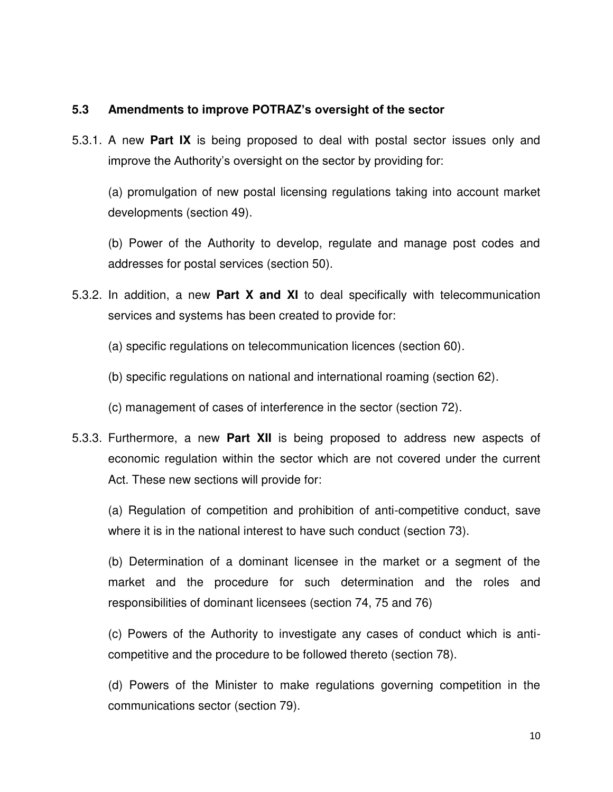#### **5.3 Amendments to improve POTRAZ's oversight of the sector**

5.3.1. A new **Part IX** is being proposed to deal with postal sector issues only and improve the Authority's oversight on the sector by providing for:

 (a) promulgation of new postal licensing regulations taking into account market developments (section 49).

 (b) Power of the Authority to develop, regulate and manage post codes and addresses for postal services (section 50).

- 5.3.2. In addition, a new **Part X and XI** to deal specifically with telecommunication services and systems has been created to provide for:
	- (a) specific regulations on telecommunication licences (section 60).
	- (b) specific regulations on national and international roaming (section 62).
	- (c) management of cases of interference in the sector (section 72).
- 5.3.3. Furthermore, a new **Part XII** is being proposed to address new aspects of economic regulation within the sector which are not covered under the current Act. These new sections will provide for:

 (a) Regulation of competition and prohibition of anti-competitive conduct, save where it is in the national interest to have such conduct (section 73).

 (b) Determination of a dominant licensee in the market or a segment of the market and the procedure for such determination and the roles and responsibilities of dominant licensees (section 74, 75 and 76)

 (c) Powers of the Authority to investigate any cases of conduct which is anticompetitive and the procedure to be followed thereto (section 78).

 (d) Powers of the Minister to make regulations governing competition in the communications sector (section 79).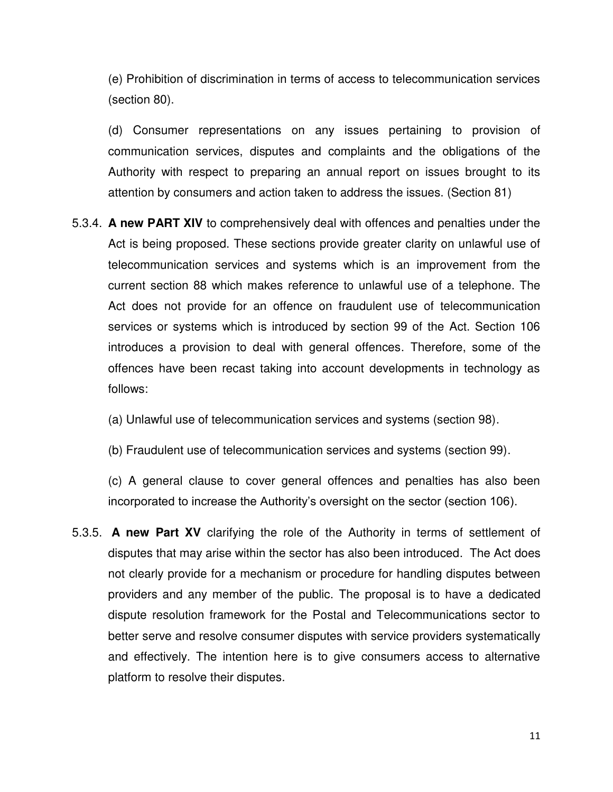(e) Prohibition of discrimination in terms of access to telecommunication services (section 80).

 (d) Consumer representations on any issues pertaining to provision of communication services, disputes and complaints and the obligations of the Authority with respect to preparing an annual report on issues brought to its attention by consumers and action taken to address the issues. (Section 81)

- 5.3.4. **A new PART XIV** to comprehensively deal with offences and penalties under the Act is being proposed. These sections provide greater clarity on unlawful use of telecommunication services and systems which is an improvement from the current section 88 which makes reference to unlawful use of a telephone. The Act does not provide for an offence on fraudulent use of telecommunication services or systems which is introduced by section 99 of the Act. Section 106 introduces a provision to deal with general offences. Therefore, some of the offences have been recast taking into account developments in technology as follows:
	- (a) Unlawful use of telecommunication services and systems (section 98).
	- (b) Fraudulent use of telecommunication services and systems (section 99).

 (c) A general clause to cover general offences and penalties has also been incorporated to increase the Authority's oversight on the sector (section 106).

5.3.5. **A new Part XV** clarifying the role of the Authority in terms of settlement of disputes that may arise within the sector has also been introduced. The Act does not clearly provide for a mechanism or procedure for handling disputes between providers and any member of the public. The proposal is to have a dedicated dispute resolution framework for the Postal and Telecommunications sector to better serve and resolve consumer disputes with service providers systematically and effectively. The intention here is to give consumers access to alternative platform to resolve their disputes.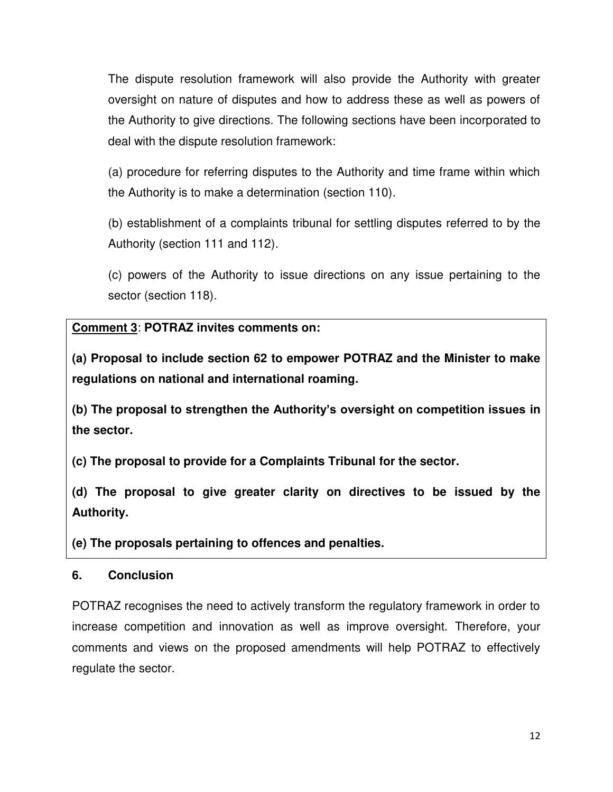The dispute resolution framework will also provide the Authority with greater oversight on nature of disputes and how to address these as well as powers of the Authority to give directions. The following sections have been incorporated to deal with the dispute resolution framework:

 (a) procedure for referring disputes to the Authority and time frame within which the Authority is to make a determination (section 110).

 (b) establishment of a complaints tribunal for settling disputes referred to by the Authority (section 111 and 112).

 (c) powers of the Authority to issue directions on any issue pertaining to the sector (section 118).

## **Comment 3**: **POTRAZ invites comments on:**

**(a) Proposal to include section 62 to empower POTRAZ and the Minister to make regulations on national and international roaming.** 

**(b) The proposal to strengthen the Authority's oversight on competition issues in the sector.** 

**(c) The proposal to provide for a Complaints Tribunal for the sector.**

**(d) The proposal to give greater clarity on directives to be issued by the Authority.** 

**(e) The proposals pertaining to offences and penalties.** 

## **6. Conclusion**

POTRAZ recognises the need to actively transform the regulatory framework in order to increase competition and innovation as well as improve oversight. Therefore, your comments and views on the proposed amendments will help POTRAZ to effectively regulate the sector.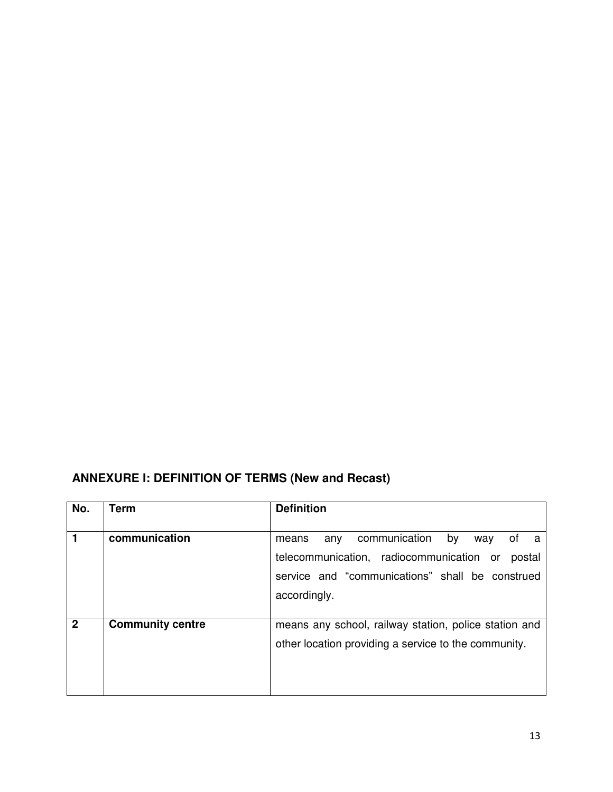## **ANNEXURE I: DEFINITION OF TERMS (New and Recast)**

| No.          | Term                    | <b>Definition</b>                                                                                             |
|--------------|-------------------------|---------------------------------------------------------------------------------------------------------------|
| 1            | communication           | communication<br>by<br>any<br>way<br>ot<br>means<br>a.<br>telecommunication, radiocommunication or<br>postal  |
|              |                         | service and "communications" shall be construed<br>accordingly.                                               |
| $\mathbf{2}$ | <b>Community centre</b> | means any school, railway station, police station and<br>other location providing a service to the community. |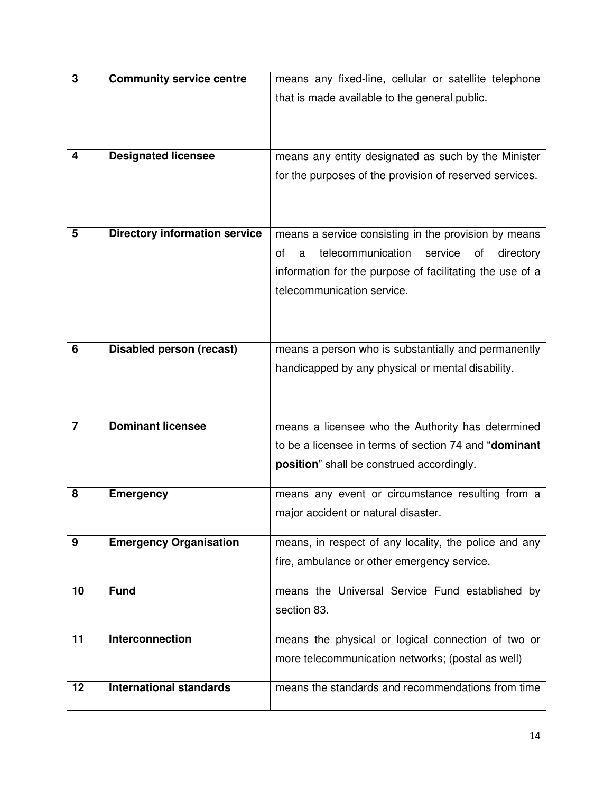| 3              | <b>Community service centre</b>      | means any fixed-line, cellular or satellite telephone      |
|----------------|--------------------------------------|------------------------------------------------------------|
|                |                                      | that is made available to the general public.              |
|                |                                      |                                                            |
|                |                                      |                                                            |
| 4              |                                      |                                                            |
|                | <b>Designated licensee</b>           | means any entity designated as such by the Minister        |
|                |                                      | for the purposes of the provision of reserved services.    |
|                |                                      |                                                            |
|                |                                      |                                                            |
| 5              | <b>Directory information service</b> | means a service consisting in the provision by means       |
|                |                                      | telecommunication<br>of<br>service<br>directory<br>a<br>οf |
|                |                                      | information for the purpose of facilitating the use of a   |
|                |                                      | telecommunication service.                                 |
|                |                                      |                                                            |
|                |                                      |                                                            |
| 6              | <b>Disabled person (recast)</b>      | means a person who is substantially and permanently        |
|                |                                      |                                                            |
|                |                                      | handicapped by any physical or mental disability.          |
|                |                                      |                                                            |
|                |                                      |                                                            |
| $\overline{7}$ | <b>Dominant licensee</b>             | means a licensee who the Authority has determined          |
|                |                                      | to be a licensee in terms of section 74 and "dominant      |
|                |                                      | position" shall be construed accordingly.                  |
| 8              |                                      |                                                            |
|                | <b>Emergency</b>                     | means any event or circumstance resulting from a           |
|                |                                      | major accident or natural disaster.                        |
| 9              | <b>Emergency Organisation</b>        | means, in respect of any locality, the police and any      |
|                |                                      | fire, ambulance or other emergency service.                |
|                |                                      |                                                            |
| 10             | <b>Fund</b>                          | means the Universal Service Fund established by            |
|                |                                      | section 83.                                                |
|                |                                      |                                                            |
| 11             | <b>Interconnection</b>               | means the physical or logical connection of two or         |
|                |                                      | more telecommunication networks; (postal as well)          |
| 12             | <b>International standards</b>       | means the standards and recommendations from time          |
|                |                                      |                                                            |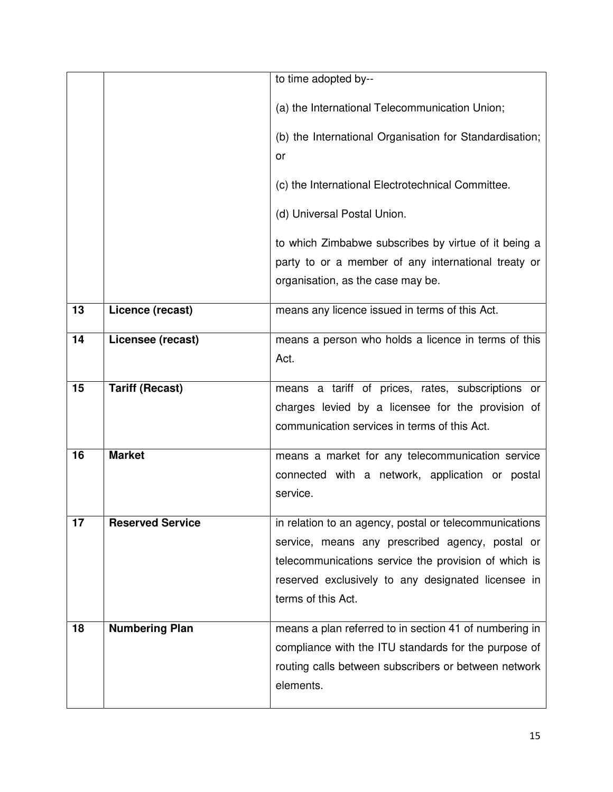|    |                         | to time adopted by--                                                                                                                                                                                                                          |
|----|-------------------------|-----------------------------------------------------------------------------------------------------------------------------------------------------------------------------------------------------------------------------------------------|
|    |                         | (a) the International Telecommunication Union;                                                                                                                                                                                                |
|    |                         | (b) the International Organisation for Standardisation;<br>or                                                                                                                                                                                 |
|    |                         | (c) the International Electrotechnical Committee.                                                                                                                                                                                             |
|    |                         | (d) Universal Postal Union.                                                                                                                                                                                                                   |
|    |                         | to which Zimbabwe subscribes by virtue of it being a<br>party to or a member of any international treaty or<br>organisation, as the case may be.                                                                                              |
| 13 | Licence (recast)        | means any licence issued in terms of this Act.                                                                                                                                                                                                |
| 14 | Licensee (recast)       | means a person who holds a licence in terms of this<br>Act.                                                                                                                                                                                   |
| 15 | <b>Tariff (Recast)</b>  | means a tariff of prices, rates, subscriptions or<br>charges levied by a licensee for the provision of<br>communication services in terms of this Act.                                                                                        |
| 16 | <b>Market</b>           | means a market for any telecommunication service<br>connected with a network, application or postal<br>service.                                                                                                                               |
| 17 | <b>Reserved Service</b> | in relation to an agency, postal or telecommunications<br>service, means any prescribed agency, postal or<br>telecommunications service the provision of which is<br>reserved exclusively to any designated licensee in<br>terms of this Act. |
| 18 | <b>Numbering Plan</b>   | means a plan referred to in section 41 of numbering in<br>compliance with the ITU standards for the purpose of<br>routing calls between subscribers or between network<br>elements.                                                           |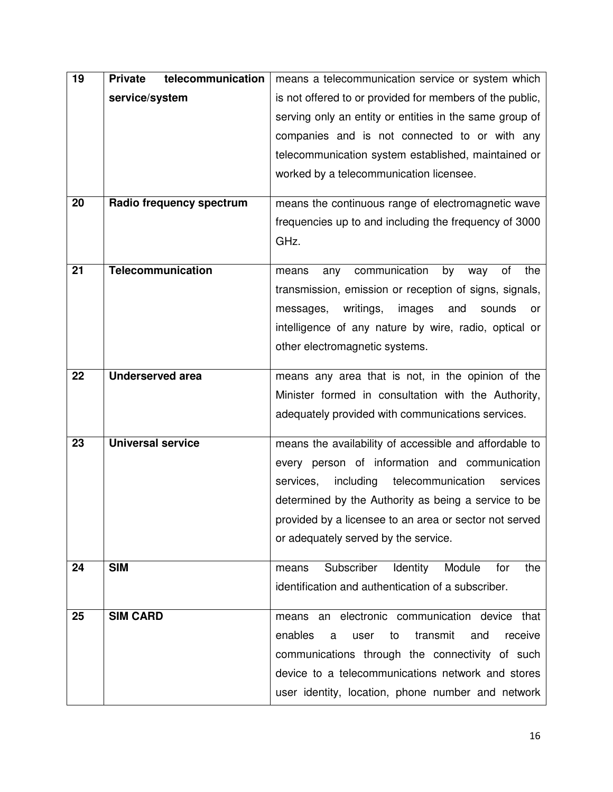| 19 | telecommunication<br><b>Private</b> | means a telecommunication service or system which        |
|----|-------------------------------------|----------------------------------------------------------|
|    | service/system                      | is not offered to or provided for members of the public, |
|    |                                     | serving only an entity or entities in the same group of  |
|    |                                     | companies and is not connected to or with any            |
|    |                                     | telecommunication system established, maintained or      |
|    |                                     | worked by a telecommunication licensee.                  |
|    |                                     |                                                          |
| 20 | Radio frequency spectrum            | means the continuous range of electromagnetic wave       |
|    |                                     | frequencies up to and including the frequency of 3000    |
|    |                                     | GHz.                                                     |
| 21 | Telecommunication                   | communication<br>by<br>οf<br>the<br>means<br>any<br>way  |
|    |                                     | transmission, emission or reception of signs, signals,   |
|    |                                     | messages, writings,<br>images<br>and<br>sounds<br>or     |
|    |                                     | intelligence of any nature by wire, radio, optical or    |
|    |                                     | other electromagnetic systems.                           |
|    |                                     |                                                          |
| 22 | <b>Underserved area</b>             | means any area that is not, in the opinion of the        |
|    |                                     | Minister formed in consultation with the Authority,      |
|    |                                     | adequately provided with communications services.        |
| 23 | <b>Universal service</b>            | means the availability of accessible and affordable to   |
|    |                                     | every person of information and communication            |
|    |                                     | including<br>telecommunication<br>services,<br>services  |
|    |                                     | determined by the Authority as being a service to be     |
|    |                                     | provided by a licensee to an area or sector not served   |
|    |                                     | or adequately served by the service.                     |
| 24 | <b>SIM</b>                          | Subscriber<br>Identity<br>Module<br>for<br>the<br>means  |
|    |                                     | identification and authentication of a subscriber.       |
|    |                                     |                                                          |
| 25 | <b>SIM CARD</b>                     | an electronic communication device that<br>means         |
|    |                                     | enables<br>transmit<br>receive<br>user<br>to<br>and<br>a |
|    |                                     | communications through the connectivity of such          |
|    |                                     | device to a telecommunications network and stores        |
|    |                                     | user identity, location, phone number and network        |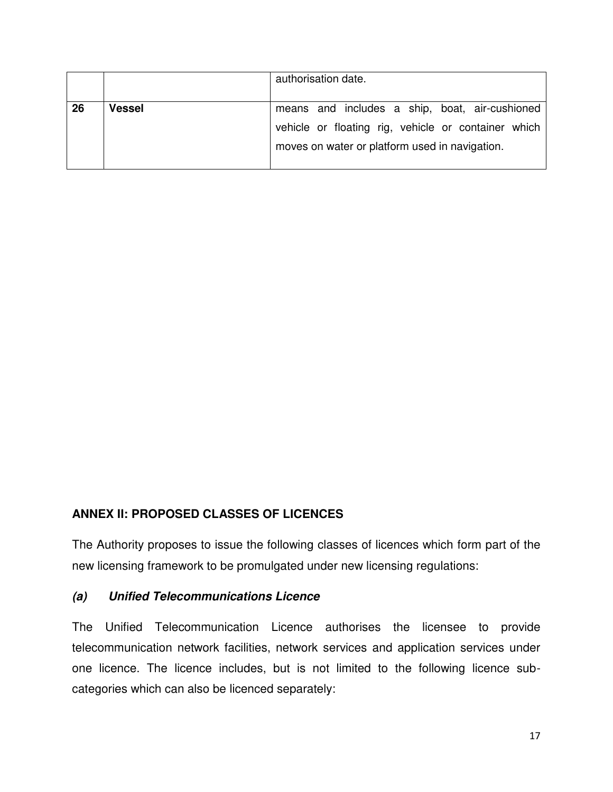|    |        | authorisation date.                                 |
|----|--------|-----------------------------------------------------|
|    |        |                                                     |
| 26 | Vessel | means and includes a ship, boat, air-cushioned      |
|    |        | vehicle or floating rig, vehicle or container which |
|    |        | moves on water or platform used in navigation.      |
|    |        |                                                     |

## **ANNEX II: PROPOSED CLASSES OF LICENCES**

The Authority proposes to issue the following classes of licences which form part of the new licensing framework to be promulgated under new licensing regulations:

#### *(a) Unified Telecommunications Licence*

The Unified Telecommunication Licence authorises the licensee to provide telecommunication network facilities, network services and application services under one licence. The licence includes, but is not limited to the following licence subcategories which can also be licenced separately: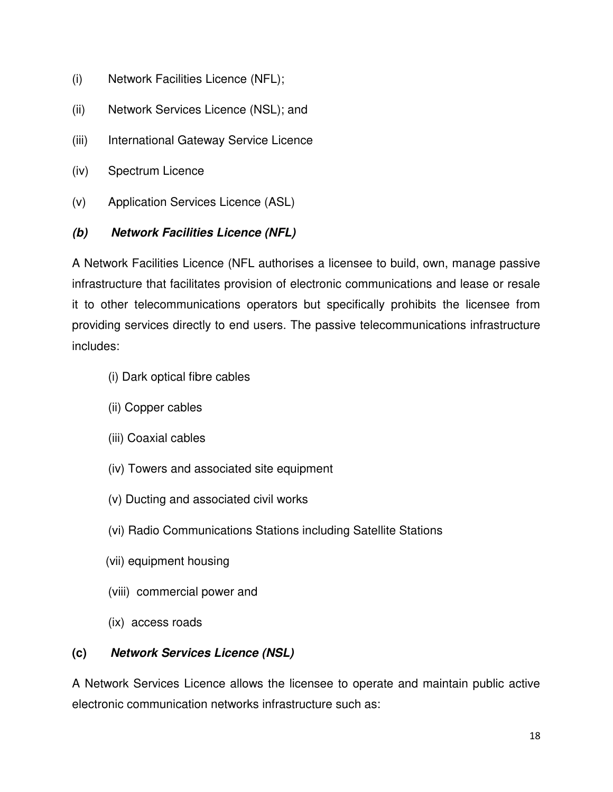- (i) Network Facilities Licence (NFL);
- (ii) Network Services Licence (NSL); and
- (iii) International Gateway Service Licence
- (iv) Spectrum Licence
- (v) Application Services Licence (ASL)

## *(b) Network Facilities Licence (NFL)*

A Network Facilities Licence (NFL authorises a licensee to build, own, manage passive infrastructure that facilitates provision of electronic communications and lease or resale it to other telecommunications operators but specifically prohibits the licensee from providing services directly to end users. The passive telecommunications infrastructure includes:

- (i) Dark optical fibre cables
- (ii) Copper cables
- (iii) Coaxial cables
- (iv) Towers and associated site equipment
- (v) Ducting and associated civil works
- (vi) Radio Communications Stations including Satellite Stations
- (vii) equipment housing
- (viii) commercial power and
- (ix) access roads

## **(c)** *Network Services Licence (NSL)*

A Network Services Licence allows the licensee to operate and maintain public active electronic communication networks infrastructure such as: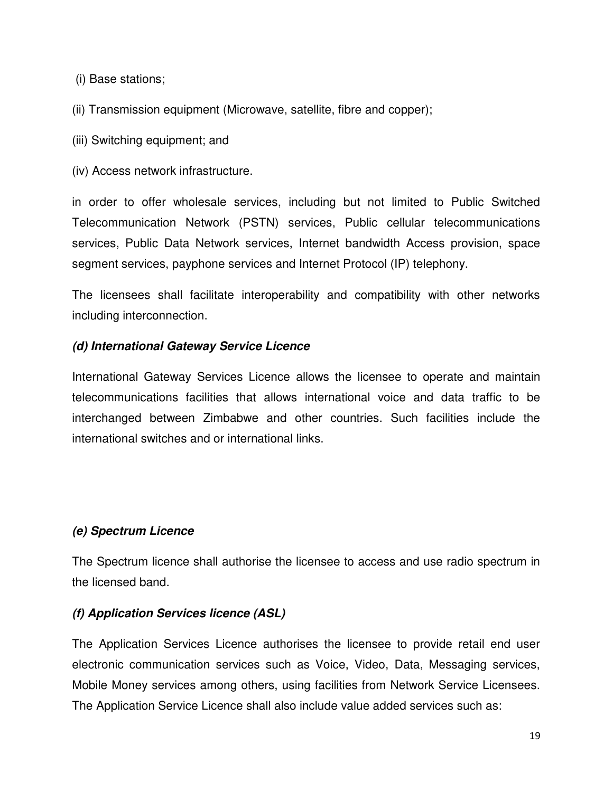(i) Base stations;

(ii) Transmission equipment (Microwave, satellite, fibre and copper);

(iii) Switching equipment; and

(iv) Access network infrastructure.

in order to offer wholesale services, including but not limited to Public Switched Telecommunication Network (PSTN) services, Public cellular telecommunications services, Public Data Network services, Internet bandwidth Access provision, space segment services, payphone services and Internet Protocol (IP) telephony.

The licensees shall facilitate interoperability and compatibility with other networks including interconnection.

## *(d) International Gateway Service Licence*

International Gateway Services Licence allows the licensee to operate and maintain telecommunications facilities that allows international voice and data traffic to be interchanged between Zimbabwe and other countries. Such facilities include the international switches and or international links.

## *(e) Spectrum Licence*

The Spectrum licence shall authorise the licensee to access and use radio spectrum in the licensed band.

## *(f) Application Services licence (ASL)*

The Application Services Licence authorises the licensee to provide retail end user electronic communication services such as Voice, Video, Data, Messaging services, Mobile Money services among others, using facilities from Network Service Licensees. The Application Service Licence shall also include value added services such as: